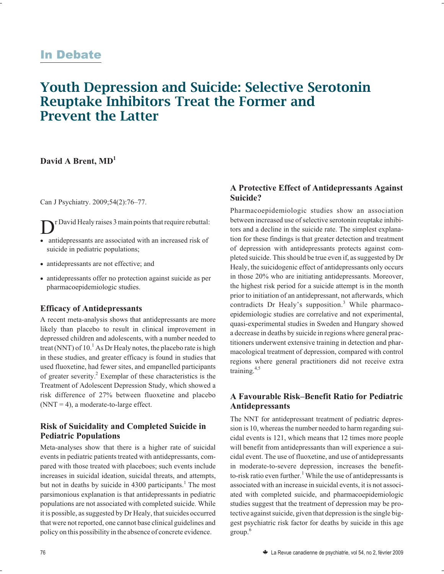# <u>In Debate</u>

# **Youth Depression and Suicide: Selective Serotonin Reuptake Inhibitors Treat the Former and Prevent the Latter**

## David A Brent, MD<sup>1</sup>

Can J Psychiatry. 2009;54(2):76–77.

Dr David Healy raises 3 main points that require rebuttal: - antidepressants are associated with an increased risk of

- suicide in pediatric populations;
- antidepressants are not effective; and
- antidepressants offer no protection against suicide as per pharmacoepidemiologic studies.

#### **Efficacy of Antidepressants**

A recent meta-analysis shows that antidepressants are more likely than placebo to result in clinical improvement in depressed children and adolescents, with a number needed to treat (NNT) of  $10<sup>1</sup>$  As Dr Healy notes, the placebo rate is high in these studies, and greater efficacy is found in studies that used fluoxetine, had fewer sites, and empanelled participants of greater severity.2 Exemplar of these characteristics is the Treatment of Adolescent Depression Study, which showed a risk difference of 27% between fluoxetine and placebo  $(NNT = 4)$ , a moderate-to-large effect.

#### **Risk of Suicidality and Completed Suicide in Pediatric Populations**

Meta-analyses show that there is a higher rate of suicidal events in pediatric patients treated with antidepressants, compared with those treated with placeboes; such events include increases in suicidal ideation, suicidal threats, and attempts, but not in deaths by suicide in  $4300$  participants.<sup>1</sup> The most parsimonious explanation is that antidepressants in pediatric populations are not associated with completed suicide. While it is possible, as suggested by Dr Healy, that suicides occurred that were not reported, one cannot base clinical guidelines and policy on this possibility in the absence of concrete evidence.

### **A Protective Effect of Antidepressants Against Suicide?**

Pharmacoepidemiologic studies show an association between increased use of selective serotonin reuptake inhibitors and a decline in the suicide rate. The simplest explanation for these findings is that greater detection and treatment of depression with antidepressants protects against completed suicide. This should be true even if, as suggested by Dr Healy, the suicidogenic effect of antidepressants only occurs in those 20% who are initiating antidepressants. Moreover, the highest risk period for a suicide attempt is in the month prior to initiation of an antidepressant, not afterwards, which contradicts Dr Healy's supposition.<sup>3</sup> While pharmacoepidemiologic studies are correlative and not experimental, quasi-experimental studies in Sweden and Hungary showed a decrease in deaths by suicide in regions where general practitioners underwent extensive training in detection and pharmacological treatment of depression, compared with control regions where general practitioners did not receive extra training.4,5

#### **A Favourable Risk–Benefit Ratio for Pediatric Antidepressants**

The NNT for antidepressant treatment of pediatric depression is 10, whereas the number needed to harm regarding suicidal events is 121, which means that 12 times more people will benefit from antidepressants than will experience a suicidal event. The use of fluoxetine, and use of antidepressants in moderate-to-severe depression, increases the benefitto-risk ratio even further.<sup>1</sup> While the use of antidepressants is associated with an increase in suicidal events, it is not associated with completed suicide, and pharmacoepidemiologic studies suggest that the treatment of depression may be protective against suicide, given that depression is the single biggest psychiatric risk factor for deaths by suicide in this age group.<sup>6</sup>